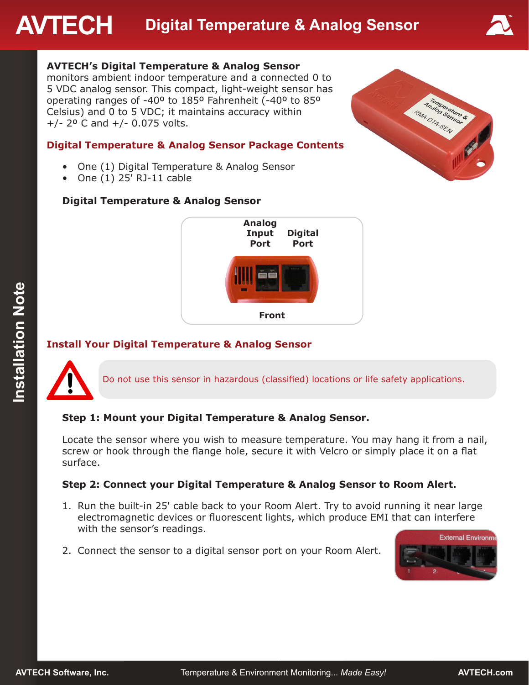# **AVTECH Digital Temperature & Analog Sensor**



# **AVTECH's Digital Temperature & Analog Sensor**

monitors ambient indoor temperature and a connected 0 to 5 VDC analog sensor. This compact, light-weight sensor has operating ranges of -40º to 185º Fahrenheit (-40º to 85º Celsius) and 0 to 5 VDC; it maintains accuracy within  $+/- 2^{\circ}$  C and  $+/- 0.075$  volts.

#### **Digital Temperature & Analog Sensor Package Contents**

- One (1) Digital Temperature & Analog Sensor
- One (1) 25' RJ-11 cable

# Analog Sensor **Analog Sens**

# **Digital Temperature & Analog Sensor**



# **Install Your Digital Temperature & Analog Sensor**



Do not use this sensor in hazardous (classified) locations or life safety applications.

#### **Step 1: Mount your Digital Temperature & Analog Sensor.**

Locate the sensor where you wish to measure temperature. You may hang it from a nail, screw or hook through the flange hole, secure it with Velcro or simply place it on a flat surface.

# **Step 2: Connect your Digital Temperature & Analog Sensor to Room Alert.**

- 1. Run the built-in 25' cable back to your Room Alert. Try to avoid running it near large electromagnetic devices or fluorescent lights, which produce EMI that can interfere with the sensor's readings.
- 2. Connect the sensor to a digital sensor port on your Room Alert.

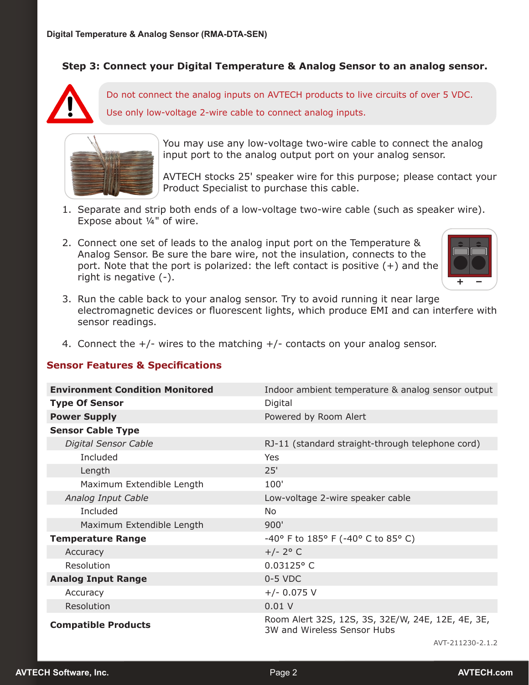### **Step 3: Connect your Digital Temperature & Analog Sensor to an analog sensor.**



Do not connect the analog inputs on AVTECH products to live circuits of over 5 VDC. Use only low-voltage 2-wire cable to connect analog inputs.



You may use any low-voltage two-wire cable to connect the analog input port to the analog output port on your analog sensor.

AVTECH stocks 25' speaker wire for this purpose; please contact your Product Specialist to purchase this cable.

- 1. Separate and strip both ends of a low-voltage two-wire cable (such as speaker wire). Expose about ¼" of wire.
- 2. Connect one set of leads to the analog input port on the Temperature & Analog Sensor. Be sure the bare wire, not the insulation, connects to the port. Note that the port is polarized: the left contact is positive (+) and the right is negative (-).



- 3. Run the cable back to your analog sensor. Try to avoid running it near large electromagnetic devices or fluorescent lights, which produce EMI and can interfere with sensor readings.
- 4. Connect the +/- wires to the matching +/- contacts on your analog sensor.

#### **Sensor Features & Specifications**

| <b>Environment Condition Monitored</b> | Indoor ambient temperature & analog sensor output                                |  |  |
|----------------------------------------|----------------------------------------------------------------------------------|--|--|
| <b>Type Of Sensor</b>                  | Digital                                                                          |  |  |
| <b>Power Supply</b>                    | Powered by Room Alert                                                            |  |  |
| <b>Sensor Cable Type</b>               |                                                                                  |  |  |
| <b>Digital Sensor Cable</b>            | RJ-11 (standard straight-through telephone cord)                                 |  |  |
| Included                               | Yes                                                                              |  |  |
| Length                                 | 25'                                                                              |  |  |
| Maximum Extendible Length              | 100'                                                                             |  |  |
| Analog Input Cable                     | Low-voltage 2-wire speaker cable                                                 |  |  |
| Included                               | No.                                                                              |  |  |
| Maximum Extendible Length              | 900'                                                                             |  |  |
| <b>Temperature Range</b>               | -40° F to 185° F (-40° C to 85° C)                                               |  |  |
| Accuracy                               | $+/- 2^{\circ}$ C                                                                |  |  |
| Resolution                             | 0.03125° C                                                                       |  |  |
| <b>Analog Input Range</b>              | $0-5$ VDC                                                                        |  |  |
| Accuracy                               | $+/- 0.075$ V                                                                    |  |  |
| Resolution                             | 0.01V                                                                            |  |  |
| <b>Compatible Products</b>             | Room Alert 32S, 12S, 3S, 32E/W, 24E, 12E, 4E, 3E,<br>3W and Wireless Sensor Hubs |  |  |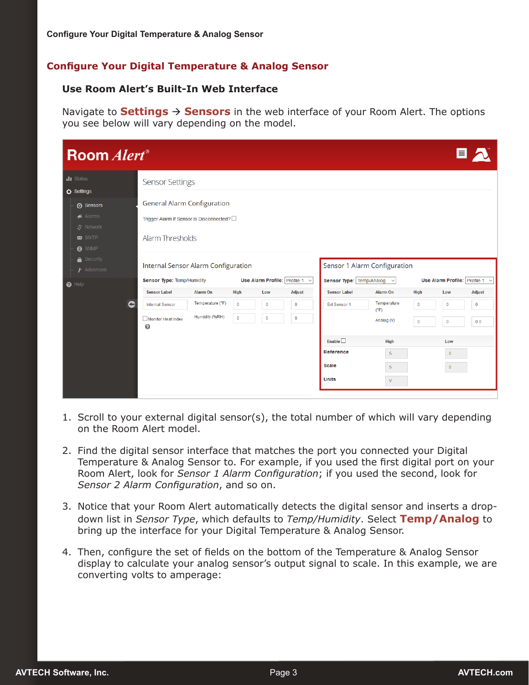#### **Configure Your Digital Temperature & Analog Sensor**

#### **Use Room Alert's Built-In Web Interface**

Navigate to **Settings Sensors** in the web interface of your Room Alert. The options you see below will vary depending on the model.

| <b>Room</b> Alert <sup>®</sup>                                                      |                                                                                                                                                                                 |                                    |                             |                              |                         |                                                                                                                                                                                                |                                                                                         |                                | E                                                              |                     |
|-------------------------------------------------------------------------------------|---------------------------------------------------------------------------------------------------------------------------------------------------------------------------------|------------------------------------|-----------------------------|------------------------------|-------------------------|------------------------------------------------------------------------------------------------------------------------------------------------------------------------------------------------|-----------------------------------------------------------------------------------------|--------------------------------|----------------------------------------------------------------|---------------------|
| di Status<br><b>D</b> Settings<br>⊙ Sensors<br>Alarms<br>$S$ Network<br>$\sum$ SMTP | <b>Sensor Settings</b><br><b>General Alarm Configuration</b><br>Trigger Alarm If Sensor Is Disconnected? [<br><b>Alarm Thresholds</b>                                           |                                    |                             |                              |                         |                                                                                                                                                                                                |                                                                                         |                                |                                                                |                     |
| <b>8</b> SNMP<br>Security<br>$\gamma$ Advanced<br>$\Theta$ Help                     | Internal Sensor Alarm Configuration<br><b>Sensor Type: Temp/Humidity</b><br>Use Alarm Profile: Profile 1 $\sim$<br><b>Alarm On</b><br><b>Sensor Label</b><br><b>High</b><br>Low |                                    |                             |                              | <b>Adjust</b>           | Sensor 1 Alarm Configuration<br><b>Sensor Type:</b> Temp/Analog $\sim$<br>Use Alarm Profile: Profile 1 $\sim$<br><b>Sensor Label</b><br><b>Alarm On</b><br><b>High</b><br><b>Adjust</b><br>Low |                                                                                         |                                |                                                                |                     |
| c                                                                                   | <b>Internal Sensor</b><br>Monitor Heat Index<br>$\boldsymbol{\Omega}$                                                                                                           | Temperature (°F)<br>Humidity (%RH) | $\mathbf{0}$<br>$\mathbf 0$ | $\mathbf{0}$<br>$\mathbf{0}$ | $\bf{0}$<br>$\mathbf 0$ | Ext Sensor 1<br>Enable<br>Reference<br><b>Scale</b><br><b>Units</b>                                                                                                                            | Temperature<br>(°F)<br>Analog (V)<br><b>High</b><br>$\overline{5}$<br>5<br>$\mathsf{V}$ | $\overline{0}$<br>$\mathbf{0}$ | $\mathbf{0}$<br>$\mathbf 0$<br>Low<br>$\pmb{0}$<br>$\mathbf 0$ | $\mathbf{0}$<br>0.0 |

- 1. Scroll to your external digital sensor(s), the total number of which will vary depending on the Room Alert model.
- 2. Find the digital sensor interface that matches the port you connected your Digital Temperature & Analog Sensor to. For example, if you used the first digital port on your Room Alert, look for *Sensor 1 Alarm Configuration*; if you used the second, look for *Sensor 2 Alarm Configuration*, and so on.
- 3. Notice that your Room Alert automatically detects the digital sensor and inserts a dropdown list in *Sensor Type*, which defaults to *Temp/Humidity*. Select **Temp/Analog** to bring up the interface for your Digital Temperature & Analog Sensor.
- 4. Then, configure the set of fields on the bottom of the Temperature & Analog Sensor display to calculate your analog sensor's output signal to scale. In this example, we are converting volts to amperage: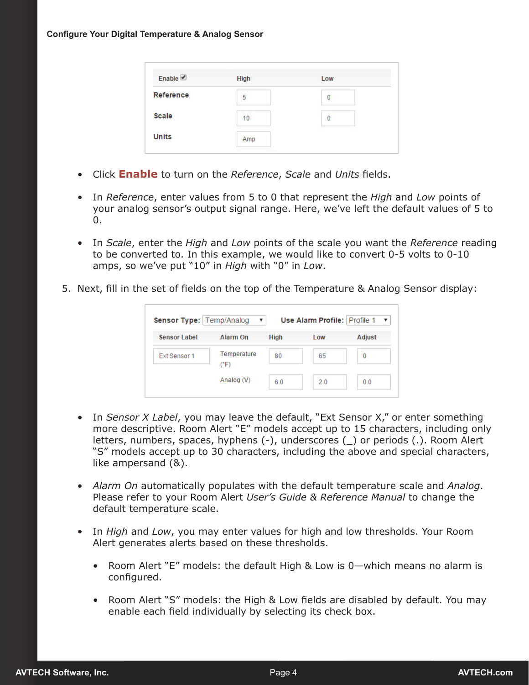| Enable           | <b>High</b> | Low |  |
|------------------|-------------|-----|--|
| <b>Reference</b> | 5           | 0   |  |
| <b>Scale</b>     | 10          | 0   |  |
| <b>Units</b>     | Amp         |     |  |

- Click **Enable** to turn on the *Reference*, *Scale* and *Units* fields.
- In *Reference*, enter values from 5 to 0 that represent the *High* and *Low* points of your analog sensor's output signal range. Here, we've left the default values of 5 to 0.
- In *Scale*, enter the *High* and *Low* points of the scale you want the *Reference* reading to be converted to. In this example, we would like to convert 0-5 volts to 0-10 amps, so we've put "10" in *High* with "0" in *Low*.
- 5. Next, fill in the set of fields on the top of the Temperature & Analog Sensor display:

| Sensor Type:   Temp/Analog |                     |      | Use Alarm Profile: Profile 1 |        |
|----------------------------|---------------------|------|------------------------------|--------|
| <b>Sensor Label</b>        | Alarm On            | High | Low                          | Adjust |
| Ext Sensor 1               | Temperature<br>(°F) | 80   | 65                           | 0      |
|                            | Analog (V)          | 6.0  | 2.0                          | 0.0    |

- In *Sensor X Label*, you may leave the default, "Ext Sensor X," or enter something more descriptive. Room Alert "E" models accept up to 15 characters, including only letters, numbers, spaces, hyphens (-), underscores (\_) or periods (.). Room Alert "S" models accept up to 30 characters, including the above and special characters, like ampersand (&).
- *Alarm On* automatically populates with the default temperature scale and *Analog*. Please refer to your Room Alert *User's Guide & Reference Manual* to change the default temperature scale.
- In *High* and *Low*, you may enter values for high and low thresholds. Your Room Alert generates alerts based on these thresholds.
	- Room Alert "E" models: the default High & Low is 0—which means no alarm is configured.
	- Room Alert "S" models: the High & Low fields are disabled by default. You may enable each field individually by selecting its check box.